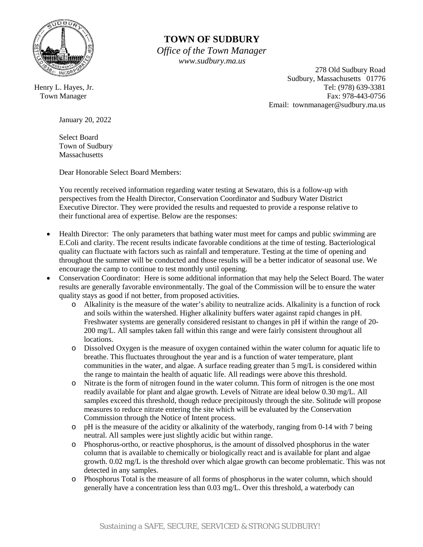

## **TOWN OF SUDBURY**

 *Office of the Town Manager www.sudbury.ma.us*

 278 Old Sudbury Road Sudbury, Massachusetts 01776 Henry L. Hayes, Jr. Tel: (978) 639-3381 Town Manager Fax: 978-443-0756 Email: townmanager@sudbury.ma.us

January 20, 2022

Select Board Town of Sudbury **Massachusetts** 

Dear Honorable Select Board Members:

You recently received information regarding water testing at Sewataro, this is a follow-up with perspectives from the Health Director, Conservation Coordinator and Sudbury Water District Executive Director. They were provided the results and requested to provide a response relative to their functional area of expertise. Below are the responses:

- Health Director: The only parameters that bathing water must meet for camps and public swimming are E.Coli and clarity. The recent results indicate favorable conditions at the time of testing. Bacteriological quality can fluctuate with factors such as rainfall and temperature. Testing at the time of opening and throughout the summer will be conducted and those results will be a better indicator of seasonal use. We encourage the camp to continue to test monthly until opening.
- Conservation Coordinator: Here is some additional information that may help the Select Board. The water results are generally favorable environmentally. The goal of the Commission will be to ensure the water quality stays as good if not better, from proposed activities.
	- o Alkalinity is the measure of the water's ability to neutralize acids. Alkalinity is a function of rock and soils within the watershed. Higher alkalinity buffers water against rapid changes in pH. Freshwater systems are generally considered resistant to changes in pH if within the range of 20- 200 mg/L. All samples taken fall within this range and were fairly consistent throughout all locations.
	- o Dissolved Oxygen is the measure of oxygen contained within the water column for aquatic life to breathe. This fluctuates throughout the year and is a function of water temperature, plant communities in the water, and algae. A surface reading greater than 5 mg/L is considered within the range to maintain the health of aquatic life. All readings were above this threshold.
	- o Nitrate is the form of nitrogen found in the water column. This form of nitrogen is the one most readily available for plant and algae growth. Levels of Nitrate are ideal below 0.30 mg/L. All samples exceed this threshold, though reduce precipitously through the site. Solitude will propose measures to reduce nitrate entering the site which will be evaluated by the Conservation Commission through the Notice of Intent process.
	- o pH is the measure of the acidity or alkalinity of the waterbody, ranging from 0-14 with 7 being neutral. All samples were just slightly acidic but within range.
	- o Phosphorus-ortho, or reactive phosphorus, is the amount of dissolved phosphorus in the water column that is available to chemically or biologically react and is available for plant and algae growth. 0.02 mg/L is the threshold over which algae growth can become problematic. This was not detected in any samples.
	- o Phosphorus Total is the measure of all forms of phosphorus in the water column, which should generally have a concentration less than 0.03 mg/L. Over this threshold, a waterbody can